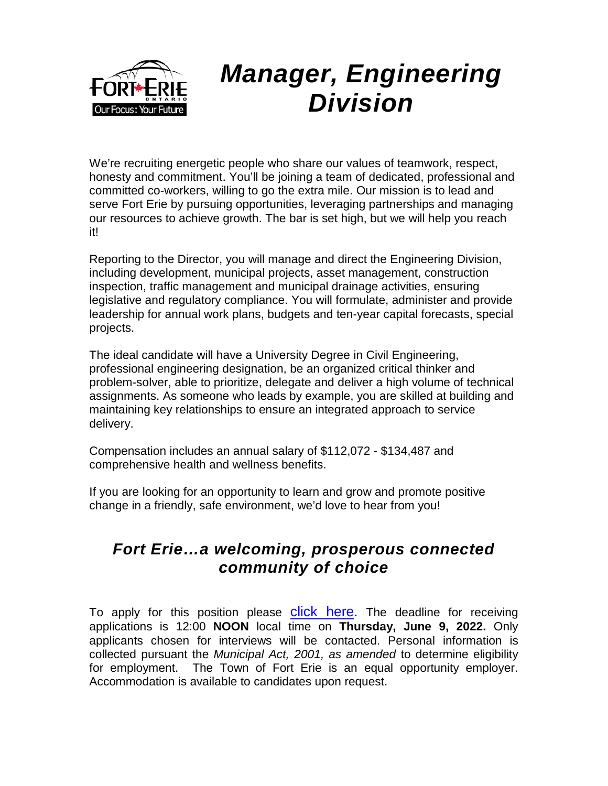

We're recruiting energetic people who share our values of teamwork, respect, honesty and commitment. You'll be joining a team of dedicated, professional and committed co-workers, willing to go the extra mile. Our mission is to lead and serve Fort Erie by pursuing opportunities, leveraging partnerships and managing our resources to achieve growth. The bar is set high, but we will help you reach it!

Reporting to the Director, you will manage and direct the Engineering Division, including development, municipal projects, asset management, construction inspection, traffic management and municipal drainage activities, ensuring legislative and regulatory compliance. You will formulate, administer and provide leadership for annual work plans, budgets and ten-year capital forecasts, special projects.

The ideal candidate will have a University Degree in Civil Engineering, professional engineering designation, be an organized critical thinker and problem-solver, able to prioritize, delegate and deliver a high volume of technical assignments. As someone who leads by example, you are skilled at building and maintaining key relationships to ensure an integrated approach to service delivery.

Compensation includes an annual salary of \$112,072 - \$134,487 and comprehensive health and wellness benefits.

If you are looking for an opportunity to learn and grow and promote positive change in a friendly, safe environment, we'd love to hear from you!

## *Fort Erie…a welcoming, prosperous connected community of choice*

To apply for this position please click [here.](https://forterie.hiringplatform.com/107337-manager-engineering-division/360893-application-form/en) The deadline for receiving applications is 12:00 **NOON** local time on **Thursday, June 9, 2022.** Only applicants chosen for interviews will be contacted. Personal information is collected pursuant the *Municipal Act, 2001, as amended* to determine eligibility for employment. The Town of Fort Erie is an equal opportunity employer. Accommodation is available to candidates upon request.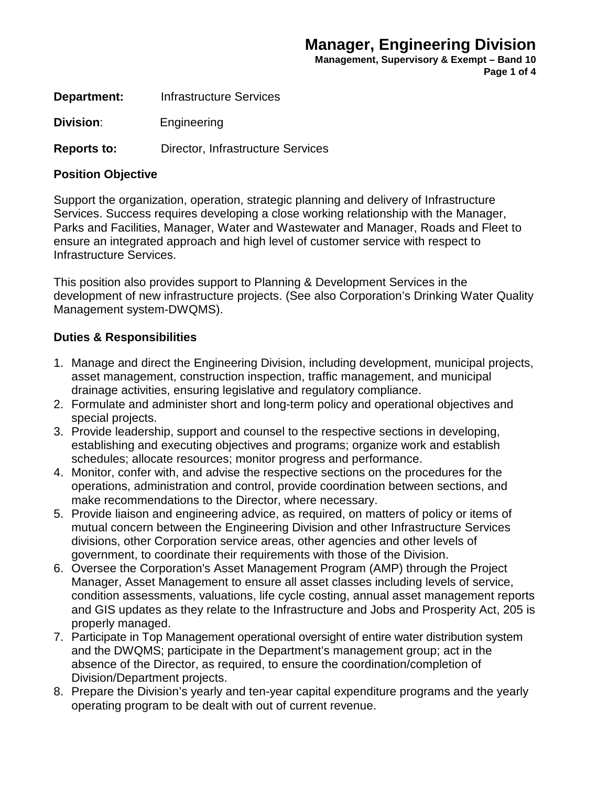**Management, Supervisory & Exempt – Band 10 Page 1 of 4**

**Department:** Infrastructure Services

**Division**: Engineering

**Reports to:** Director, Infrastructure Services

#### **Position Objective**

Support the organization, operation, strategic planning and delivery of Infrastructure Services. Success requires developing a close working relationship with the Manager, Parks and Facilities, Manager, Water and Wastewater and Manager, Roads and Fleet to ensure an integrated approach and high level of customer service with respect to Infrastructure Services.

This position also provides support to Planning & Development Services in the development of new infrastructure projects. (See also Corporation's Drinking Water Quality Management system-DWQMS).

#### **Duties & Responsibilities**

- 1. Manage and direct the Engineering Division, including development, municipal projects, asset management, construction inspection, traffic management, and municipal drainage activities, ensuring legislative and regulatory compliance.
- 2. Formulate and administer short and long-term policy and operational objectives and special projects.
- 3. Provide leadership, support and counsel to the respective sections in developing, establishing and executing objectives and programs; organize work and establish schedules; allocate resources; monitor progress and performance.
- 4. Monitor, confer with, and advise the respective sections on the procedures for the operations, administration and control, provide coordination between sections, and make recommendations to the Director, where necessary.
- 5. Provide liaison and engineering advice, as required, on matters of policy or items of mutual concern between the Engineering Division and other Infrastructure Services divisions, other Corporation service areas, other agencies and other levels of government, to coordinate their requirements with those of the Division.
- 6. Oversee the Corporation's Asset Management Program (AMP) through the Project Manager, Asset Management to ensure all asset classes including levels of service, condition assessments, valuations, life cycle costing, annual asset management reports and GIS updates as they relate to the Infrastructure and Jobs and Prosperity Act, 205 is properly managed.
- 7. Participate in Top Management operational oversight of entire water distribution system and the DWQMS; participate in the Department's management group; act in the absence of the Director, as required, to ensure the coordination/completion of Division/Department projects.
- 8. Prepare the Division's yearly and ten-year capital expenditure programs and the yearly operating program to be dealt with out of current revenue.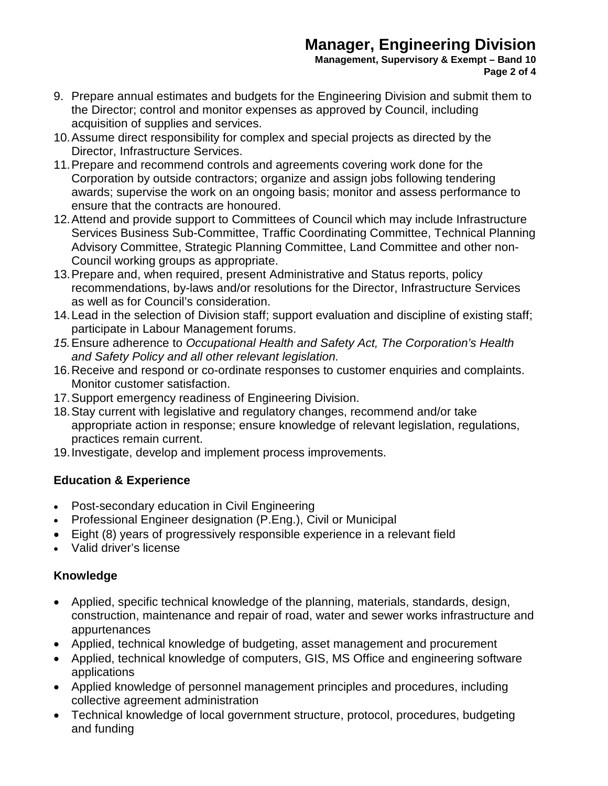**Management, Supervisory & Exempt – Band 10 Page 2 of 4**

- 9. Prepare annual estimates and budgets for the Engineering Division and submit them to the Director; control and monitor expenses as approved by Council, including acquisition of supplies and services.
- 10.Assume direct responsibility for complex and special projects as directed by the Director, Infrastructure Services.
- 11.Prepare and recommend controls and agreements covering work done for the Corporation by outside contractors; organize and assign jobs following tendering awards; supervise the work on an ongoing basis; monitor and assess performance to ensure that the contracts are honoured.
- 12.Attend and provide support to Committees of Council which may include Infrastructure Services Business Sub-Committee, Traffic Coordinating Committee, Technical Planning Advisory Committee, Strategic Planning Committee, Land Committee and other non-Council working groups as appropriate.
- 13.Prepare and, when required, present Administrative and Status reports, policy recommendations, by-laws and/or resolutions for the Director, Infrastructure Services as well as for Council's consideration.
- 14.Lead in the selection of Division staff; support evaluation and discipline of existing staff; participate in Labour Management forums.
- *15.*Ensure adherence to *Occupational Health and Safety Act, The Corporation's Health and Safety Policy and all other relevant legislation.*
- 16.Receive and respond or co-ordinate responses to customer enquiries and complaints. Monitor customer satisfaction.
- 17.Support emergency readiness of Engineering Division.
- 18.Stay current with legislative and regulatory changes, recommend and/or take appropriate action in response; ensure knowledge of relevant legislation, regulations, practices remain current.
- 19.Investigate, develop and implement process improvements.

## **Education & Experience**

- Post-secondary education in Civil Engineering
- Professional Engineer designation (P.Eng.), Civil or Municipal
- Eight (8) years of progressively responsible experience in a relevant field
- Valid driver's license

## **Knowledge**

- Applied, specific technical knowledge of the planning, materials, standards, design, construction, maintenance and repair of road, water and sewer works infrastructure and appurtenances
- Applied, technical knowledge of budgeting, asset management and procurement
- Applied, technical knowledge of computers, GIS, MS Office and engineering software applications
- Applied knowledge of personnel management principles and procedures, including collective agreement administration
- Technical knowledge of local government structure, protocol, procedures, budgeting and funding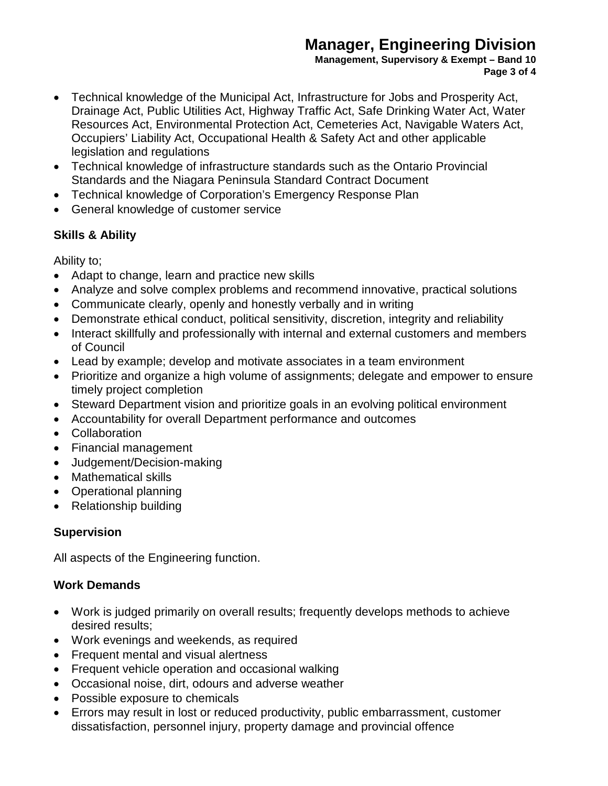**Management, Supervisory & Exempt – Band 10 Page 3 of 4**

- Technical knowledge of the Municipal Act, Infrastructure for Jobs and Prosperity Act, Drainage Act, Public Utilities Act, Highway Traffic Act, Safe Drinking Water Act, Water Resources Act, Environmental Protection Act, Cemeteries Act, Navigable Waters Act, Occupiers' Liability Act, Occupational Health & Safety Act and other applicable legislation and regulations
- Technical knowledge of infrastructure standards such as the Ontario Provincial Standards and the Niagara Peninsula Standard Contract Document
- Technical knowledge of Corporation's Emergency Response Plan
- General knowledge of customer service

## **Skills & Ability**

Ability to;

- Adapt to change, learn and practice new skills
- Analyze and solve complex problems and recommend innovative, practical solutions
- Communicate clearly, openly and honestly verbally and in writing
- Demonstrate ethical conduct, political sensitivity, discretion, integrity and reliability
- Interact skillfully and professionally with internal and external customers and members of Council
- Lead by example; develop and motivate associates in a team environment
- Prioritize and organize a high volume of assignments; delegate and empower to ensure timely project completion
- Steward Department vision and prioritize goals in an evolving political environment
- Accountability for overall Department performance and outcomes
- Collaboration
- Financial management
- Judgement/Decision-making
- Mathematical skills
- Operational planning
- Relationship building

## **Supervision**

All aspects of the Engineering function.

## **Work Demands**

- Work is judged primarily on overall results; frequently develops methods to achieve desired results;
- Work evenings and weekends, as required
- Frequent mental and visual alertness
- Frequent vehicle operation and occasional walking
- Occasional noise, dirt, odours and adverse weather
- Possible exposure to chemicals
- Errors may result in lost or reduced productivity, public embarrassment, customer dissatisfaction, personnel injury, property damage and provincial offence